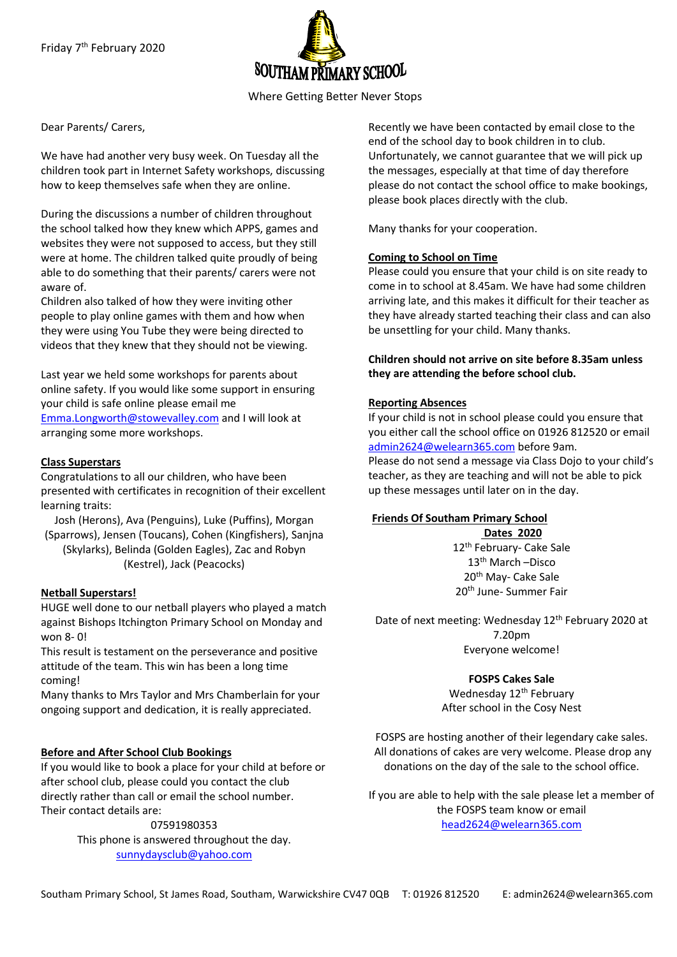

Where Getting Better Never Stops

Dear Parents/ Carers,

We have had another very busy week. On Tuesday all the children took part in Internet Safety workshops, discussing how to keep themselves safe when they are online.

During the discussions a number of children throughout the school talked how they knew which APPS, games and websites they were not supposed to access, but they still were at home. The children talked quite proudly of being able to do something that their parents/ carers were not aware of.

Children also talked of how they were inviting other people to play online games with them and how when they were using You Tube they were being directed to videos that they knew that they should not be viewing.

Last year we held some workshops for parents about online safety. If you would like some support in ensuring your child is safe online please email me [Emma.Longworth@stowevalley.com](mailto:Emma.Longworth@stowevalley.com) and I will look at arranging some more workshops.

#### **Class Superstars**

Congratulations to all our children, who have been presented with certificates in recognition of their excellent learning traits:

Josh (Herons), Ava (Penguins), Luke (Puffins), Morgan (Sparrows), Jensen (Toucans), Cohen (Kingfishers), Sanjna (Skylarks), Belinda (Golden Eagles), Zac and Robyn (Kestrel), Jack (Peacocks)

## **Netball Superstars!**

HUGE well done to our netball players who played a match against Bishops Itchington Primary School on Monday and won 8- 0!

This result is testament on the perseverance and positive attitude of the team. This win has been a long time coming!

Many thanks to Mrs Taylor and Mrs Chamberlain for your ongoing support and dedication, it is really appreciated.

## **Before and After School Club Bookings**

If you would like to book a place for your child at before or after school club, please could you contact the club directly rather than call or email the school number. Their contact details are:

07591980353

This phone is answered throughout the day. [sunnydaysclub@yahoo.com](mailto:sunnydaysclub@yahoo.com)

Recently we have been contacted by email close to the end of the school day to book children in to club. Unfortunately, we cannot guarantee that we will pick up the messages, especially at that time of day therefore please do not contact the school office to make bookings, please book places directly with the club.

Many thanks for your cooperation.

#### **Coming to School on Time**

Please could you ensure that your child is on site ready to come in to school at 8.45am. We have had some children arriving late, and this makes it difficult for their teacher as they have already started teaching their class and can also be unsettling for your child. Many thanks.

**Children should not arrive on site before 8.35am unless they are attending the before school club.**

#### **Reporting Absences**

If your child is not in school please could you ensure that you either call the school office on 01926 812520 or email [admin2624@welearn365.com](mailto:admin2624@welearn365.com) before 9am.

Please do not send a message via Class Dojo to your child's teacher, as they are teaching and will not be able to pick up these messages until later on in the day.

#### **Friends Of Southam Primary School**

**Dates 2020** 12<sup>th</sup> February- Cake Sale 13th March –Disco 20th May- Cake Sale 20th June- Summer Fair

Date of next meeting: Wednesday 12<sup>th</sup> February 2020 at 7.20pm Everyone welcome!

# **FOSPS Cakes Sale**

Wednesday 12<sup>th</sup> February After school in the Cosy Nest

FOSPS are hosting another of their legendary cake sales. All donations of cakes are very welcome. Please drop any donations on the day of the sale to the school office.

If you are able to help with the sale please let a member of the FOSPS team know or email [head2624@welearn365.com](mailto:head2624@welearn365.com)